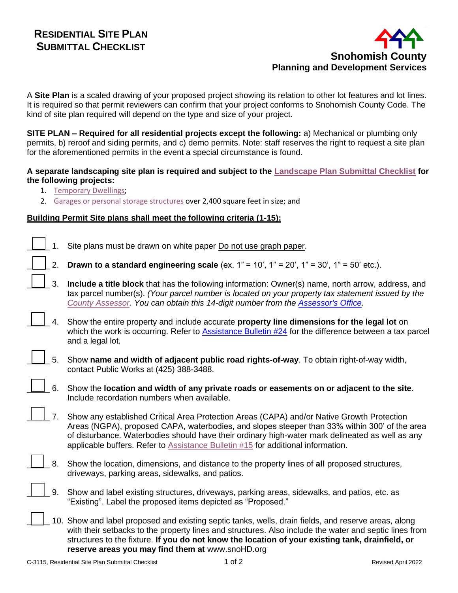

A **Site Plan** is a scaled drawing of your proposed project showing its relation to other lot features and lot lines. It is required so that permit reviewers can confirm that your project conforms to Snohomish County Code. The kind of site plan required will depend on the type and size of your project.

**SITE PLAN – Required for all residential projects except the following:** a) Mechanical or plumbing only permits, b) reroof and siding permits, and c) demo permits. Note: staff reserves the right to request a site plan for the aforementioned permits in the event a special circumstance is found.

## **A separate landscaping site plan is required and subject to the [Landscape Plan Submittal Checklist](http://snohomishcountywa.gov/DocumentCenter/View/9245) for the following projects:**

- 1. [Temporary Dwellings;](http://www.snohomishcountywa.gov/DocumentCenter/Home/View/8117)
- 2. [Garages or personal storage structures](http://www.snohomishcountywa.gov/DocumentCenter/Home/View/8081) over 2,400 square feet in size; and

## **Building Permit Site plans shall meet the following criteria (1-15):**

| 1. | Site plans must be drawn on white paper Do not use graph paper.                                                                                                                                                                                                                                                                                                                            |
|----|--------------------------------------------------------------------------------------------------------------------------------------------------------------------------------------------------------------------------------------------------------------------------------------------------------------------------------------------------------------------------------------------|
| 2. | <b>Drawn to a standard engineering scale</b> (ex. $1" = 10'$ , $1" = 20'$ , $1" = 30'$ , $1" = 50'$ etc.).                                                                                                                                                                                                                                                                                 |
| 3. | Include a title block that has the following information: Owner(s) name, north arrow, address, and<br>tax parcel number(s). (Your parcel number is located on your property tax statement issued by the<br>County Assessor. You can obtain this 14-digit number from the Assessor's Office.                                                                                                |
| 4. | Show the entire property and include accurate property line dimensions for the legal lot on<br>which the work is occurring. Refer to Assistance Bulletin #24 for the difference between a tax parcel<br>and a legal lot.                                                                                                                                                                   |
| 5. | Show name and width of adjacent public road rights-of-way. To obtain right-of-way width,<br>contact Public Works at (425) 388-3488.                                                                                                                                                                                                                                                        |
| 6. | Show the location and width of any private roads or easements on or adjacent to the site.<br>Include recordation numbers when available.                                                                                                                                                                                                                                                   |
| 7. | Show any established Critical Area Protection Areas (CAPA) and/or Native Growth Protection<br>Areas (NGPA), proposed CAPA, waterbodies, and slopes steeper than 33% within 300' of the area<br>of disturbance. Waterbodies should have their ordinary high-water mark delineated as well as any<br>applicable buffers. Refer to <b>Assistance Bulletin #15</b> for additional information. |
| 8. | Show the location, dimensions, and distance to the property lines of all proposed structures,<br>driveways, parking areas, sidewalks, and patios.                                                                                                                                                                                                                                          |
| 9. | Show and label existing structures, driveways, parking areas, sidewalks, and patios, etc. as<br>"Existing". Label the proposed items depicted as "Proposed."                                                                                                                                                                                                                               |
|    | 10. Show and label proposed and existing septic tanks, wells, drain fields, and reserve areas, along<br>with their setbacks to the property lines and structures. Also include the water and septic lines from<br>structures to the fixture. If you do not know the location of your existing tank, drainfield, or<br>reserve areas you may find them at www.snoHD.org                     |